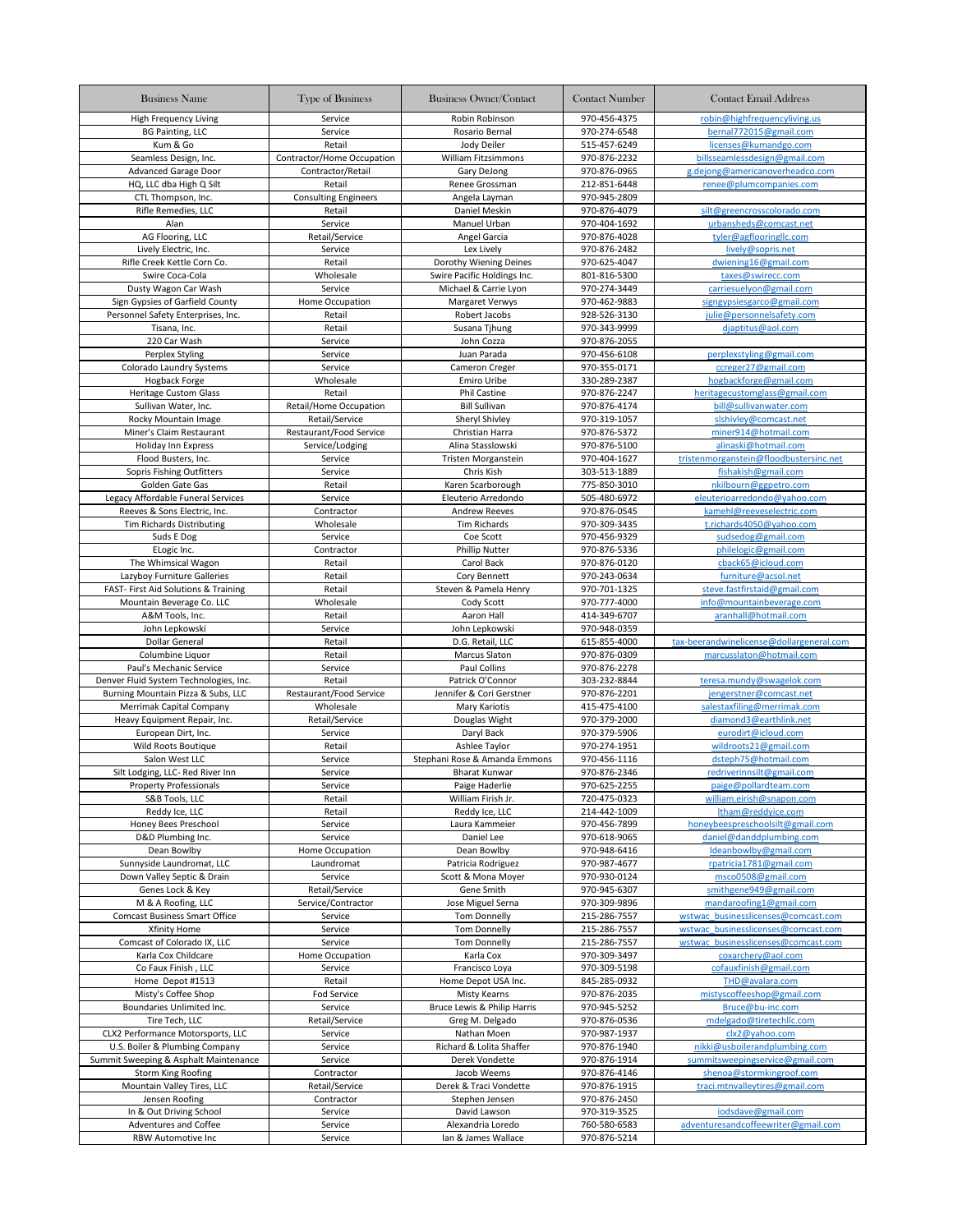| <b>Business Name</b>                   | <b>Type of Business</b>     | <b>Business Owner/Contact</b> | <b>Contact Number</b> | <b>Contact Email Address</b>             |
|----------------------------------------|-----------------------------|-------------------------------|-----------------------|------------------------------------------|
| <b>High Frequency Living</b>           | Service                     | Robin Robinson                | 970-456-4375          | robin@highfrequencyliving.us             |
| <b>BG Painting, LLC</b>                | Service                     | Rosario Bernal                | 970-274-6548          | bernal772015@gmail.com                   |
| Kum & Go                               | Retail                      | Jody Deiler                   | 515-457-6249          | licenses@kumandgo.com                    |
| Seamless Design, Inc.                  | Contractor/Home Occupation  | William Fitzsimmons           | 970-876-2232          | billsseamlessdesign@gmail.com            |
| <b>Advanced Garage Door</b>            | Contractor/Retail           | Gary DeJong                   | 970-876-0965          | g.dejong@americanoverheadco.com          |
| HQ, LLC dba High Q Silt                | Retail                      | Renee Grossman                | 212-851-6448          | renee@plumcompanies.com                  |
| CTL Thompson, Inc.                     | <b>Consulting Engineers</b> | Angela Layman                 | 970-945-2809          |                                          |
| Rifle Remedies, LLC                    | Retail                      | Daniel Meskin                 | 970-876-4079          | silt@greencrosscolorado.com              |
| Alan                                   | Service                     | Manuel Urban                  | 970-404-1692          | urbansheds@comcast.net                   |
| AG Flooring, LLC                       | Retail/Service              | Angel Garcia                  | 970-876-4028          | tyler@agflooringllc.com                  |
| Lively Electric, Inc.                  | Service                     | Lex Lively                    | 970-876-2482          | lively@sopris.net                        |
| Rifle Creek Kettle Corn Co.            | Retail                      | Dorothy Wiening Deines        | 970-625-4047          | dwiening16@gmail.com                     |
| Swire Coca-Cola                        | Wholesale                   | Swire Pacific Holdings Inc.   | 801-816-5300          | taxes@swirecc.com                        |
| Dusty Wagon Car Wash                   | Service                     | Michael & Carrie Lyon         | 970-274-3449          | carriesuelyon@gmail.com                  |
| Sign Gypsies of Garfield County        | Home Occupation             | Margaret Verwys               | 970-462-9883          | signgypsiesgarco@gmail.com               |
| Personnel Safety Enterprises, Inc.     | Retail                      | Robert Jacobs                 | 928-526-3130          | julie@personnelsafety.com                |
| Tisana, Inc.                           | Retail                      | Susana Tjhung                 | 970-343-9999          | djaptitus@aol.com                        |
| 220 Car Wash                           | Service                     | John Cozza                    | 970-876-2055          |                                          |
| Perplex Styling                        | Service                     | Juan Parada                   | 970-456-6108          | perplexstyling@gmail.com                 |
| Colorado Laundry Systems               | Service                     | Cameron Creger                | 970-355-0171          | ccreger27@gmail.com                      |
| <b>Hogback Forge</b>                   | Wholesale                   | Emiro Uribe                   | 330-289-2387          | hogbackforge@gmail.com                   |
| <b>Heritage Custom Glass</b>           | Retail                      | <b>Phil Castine</b>           | 970-876-2247          | heritagecustomglass@gmail.com            |
| Sullivan Water, Inc.                   | Retail/Home Occupation      | <b>Bill Sullivan</b>          | 970-876-4174          | bill@sullivanwater.com                   |
| Rocky Mountain Image                   | Retail/Service              | Sheryl Shivley                | 970-319-1057          | slshivley@comcast.net                    |
| Miner's Claim Restaurant               | Restaurant/Food Service     | Christian Harra               | 970-876-5372          | miner914@hotmail.com                     |
| Holiday Inn Express                    | Service/Lodging             | Alina Stasslowski             | 970-876-5100          | alinaski@hotmail.com                     |
| Flood Busters, Inc.                    | Service                     | <b>Tristen Morganstein</b>    | 970-404-1627          | tristenmorganstein@floodbustersinc.net   |
| Sopris Fishing Outfitters              | Service                     | Chris Kish                    | 303-513-1889          | fishakish@gmail.com                      |
| Golden Gate Gas                        | Retail                      | Karen Scarborough             | 775-850-3010          | nkilbourn@ggpetro.com                    |
| Legacy Affordable Funeral Services     | Service                     | Eleuterio Arredondo           | 505-480-6972          | eleuterioarredondo@yahoo.com             |
| Reeves & Sons Electric, Inc.           | Contractor                  | <b>Andrew Reeves</b>          | 970-876-0545          | kamehl@reeveselectric.com                |
| <b>Tim Richards Distributing</b>       | Wholesale                   | <b>Tim Richards</b>           | 970-309-3435          | t.richards4050@yahoo.com                 |
| Suds E Dog                             | Service                     | Coe Scott                     | 970-456-9329          | sudsedog@gmail.com                       |
| ELogic Inc.                            | Contractor                  | <b>Phillip Nutter</b>         | 970-876-5336          | philelogic@gmail.com                     |
| The Whimsical Wagon                    | Retail                      | Carol Back                    | 970-876-0120          | cback65@icloud.com                       |
| Lazyboy Furniture Galleries            | Retail                      | Cory Bennett                  | 970-243-0634          | furniture@acsol.net                      |
| FAST- First Aid Solutions & Training   | Retail                      | Steven & Pamela Henry         | 970-701-1325          | steve.fastfirstaid@gmail.com             |
| Mountain Beverage Co. LLC              | Wholesale                   | Cody Scott                    | 970-777-4000          | info@mountainbeverage.com                |
| A&M Tools, Inc.                        | Retail                      | Aaron Hall                    | 414-349-6707          | aranhall@hotmail.com                     |
| John Lepkowski                         | Service                     | John Lepkowski                | 970-948-0359          |                                          |
| Dollar General                         | Retail                      | D.G. Retail, LLC              | 615-855-4000          | tax-beerandwinelicense@dollargeneral.com |
| Columbine Liquor                       | Retail                      | Marcus Slaton                 | 970-876-0309          | marcusslaton@hotmail.com                 |
| Paul's Mechanic Service                | Service                     | Paul Collins                  | 970-876-2278          |                                          |
| Denver Fluid System Technologies, Inc. | Retail                      | Patrick O'Connor              | 303-232-8844          | teresa.mundy@swagelok.com                |
| Burning Mountain Pizza & Subs, LLC     | Restaurant/Food Service     | Jennifer & Cori Gerstner      | 970-876-2201          | jengerstner@comcast.net                  |
| Merrimak Capital Company               | Wholesale                   | Mary Kariotis                 | 415-475-4100          | salestaxfiling@merrimak.com              |
| Heavy Equipment Repair, Inc.           | Retail/Service              | Douglas Wight                 | 970-379-2000          | diamond3@earthlink.net                   |
| European Dirt, Inc.                    | Service                     | Daryl Back                    | 970-379-5906          | eurodirt@icloud.com                      |
| Wild Roots Boutique                    | Retail                      | Ashlee Taylor                 | 970-274-1951          | wildroots21@gmail.com                    |
| Salon West LLC                         | Service                     | Stephani Rose & Amanda Emmons | 970-456-1116          | dsteph75@hotmail.com                     |
| Silt Lodging, LLC- Red River Inn       | Service                     | <b>Bharat Kunwar</b>          | 970-876-2346          | redriverinnsilt@gmail.com                |
| <b>Property Professionals</b>          | Service                     | Paige Haderlie                | 970-625-2255          | paige@pollardteam.com                    |
| S&B Tools, LLC                         | Retail                      | William Firish Jr.            | 720-475-0323          | william.eirish@snapon.com                |
| Reddy Ice, LLC                         | Retail                      | Reddy Ice, LLC                | 214-442-1009          | ltham@reddyice.com                       |
| Honey Bees Preschool                   | Service                     | Laura Kammeier                | 970-456-7899          | honeybeespreschoolsilt@gmail.com         |
| D&D Plumbing Inc.                      | Service                     | Daniel Lee                    | 970-618-9065          | daniel@danddplumbing.com                 |
| Dean Bowlby                            | Home Occupation             | Dean Bowlby                   | 970-948-6416          | Ideanbowlby@gmail.com                    |
| Sunnyside Laundromat, LLC              | Laundromat                  | Patricia Rodriguez            | 970-987-4677          | rpatricia1781@gmail.com                  |
| Down Valley Septic & Drain             | Service                     | Scott & Mona Moyer            | 970-930-0124          | msco0508@gmail.com                       |
| Genes Lock & Key                       | Retail/Service              | Gene Smith                    | 970-945-6307          | smithgene949@gmail.com                   |
| M & A Roofing, LLC                     | Service/Contractor          | Jose Miguel Serna             | 970-309-9896          | mandaroofing1@gmail.com                  |
| <b>Comcast Business Smart Office</b>   | Service                     | <b>Tom Donnelly</b>           | 215-286-7557          | wstwac businesslicenses@comcast.com      |
| Xfinity Home                           | Service                     | <b>Tom Donnelly</b>           | 215-286-7557          | wstwac businesslicenses@comcast.com      |
| Comcast of Colorado IX, LLC            | Service                     | <b>Tom Donnelly</b>           | 215-286-7557          | wstwac_businesslicenses@comcast.com      |
| Karla Cox Childcare                    | Home Occupation             | Karla Cox                     | 970-309-3497          | coxarchery@aol.com                       |
| Co Faux Finish, LLC                    | Service                     | Francisco Loya                | 970-309-5198          | cofauxfinish@gmail.com                   |
| Home Depot #1513                       | Retail                      | Home Depot USA Inc.           | 845-285-0932          | THD@avalara.com                          |
| Misty's Coffee Shop                    | Fod Service                 | Misty Kearns                  | 970-876-2035          | mistyscoffeeshop@gmail.com               |
| Boundaries Unlimited Inc.              | Service                     | Bruce Lewis & Philip Harris   | 970-945-5252          | Bruce@bu-inc.com                         |
| Tire Tech, LLC                         | Retail/Service              | Greg M. Delgado               | 970-876-0536          | mdelgado@tiretechllc.com                 |
| CLX2 Performance Motorsports, LLC      | Service                     | Nathan Moen                   | 970-987-1937          | clx2@yahoo.com                           |
| U.S. Boiler & Plumbing Company         | Service                     | Richard & Lolita Shaffer      | 970-876-1940          | nikki@usboilerandplumbing.com            |
| Summit Sweeping & Asphalt Maintenance  | Service                     | Derek Vondette                | 970-876-1914          | summitsweepingservice@gmail.com          |
| <b>Storm King Roofing</b>              | Contractor                  | Jacob Weems                   | 970-876-4146          | shenoa@stormkingroof.com                 |
| Mountain Valley Tires, LLC             | Retail/Service              | Derek & Traci Vondette        | 970-876-1915          | traci.mtnvalleytires@gmail.com           |
| Jensen Roofing                         | Contractor                  | Stephen Jensen                | 970-876-2450          |                                          |
| In & Out Driving School                | Service                     | David Lawson                  | 970-319-3525          | iodsdave@gmail.com                       |
| Adventures and Coffee                  | Service                     | Alexandria Loredo             | 760-580-6583          | adventuresandcoffeewriter@gmail.com      |
| RBW Automotive Inc                     | Service                     | Ian & James Wallace           | 970-876-5214          |                                          |